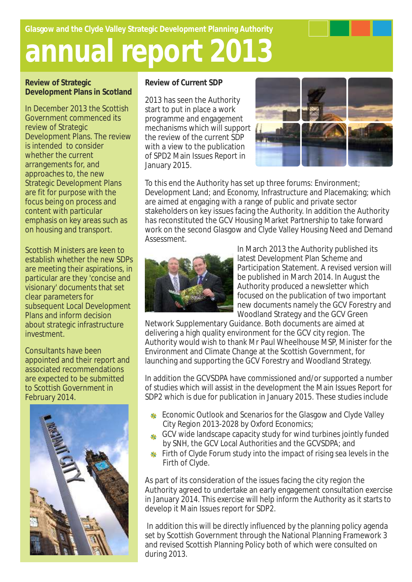**Glasgow and the Clyde Valley Strategic Development Planning Authority** 

## **annual report 2013**

**Review of Strategic Development Plans in Scotland**

In December 2013 the Scottish Government commenced its review of Strategic Development Plans. The review is intended to consider whether the current arrangements for, and approaches to, the new Strategic Development Plans are fit for purpose with the focus being on process and content with particular emphasis on key areas such as on housing and transport.

Scottish Ministers are keen to establish whether the new SDPs are meeting their aspirations, in particular are they 'concise and visionary' documents that set clear parameters for subsequent Local Development Plans and inform decision about strategic infrastructure investment.

Consultants have been appointed and their report and associated recommendations are expected to be submitted to Scottish Government in February 2014.



**Review of Current SDP** 

2013 has seen the Authority start to put in place a work programme and engagement mechanisms which will support the review of the current SDP with a view to the publication of SPD2 Main Issues Report in January 2015.



To this end the Authority has set up three forums: Environment; Development Land; and Economy, Infrastructure and Placemaking; which are aimed at engaging with a range of public and private sector stakeholders on key issues facing the Authority. In addition the Authority has reconstituted the GCV Housing Market Partnership to take forward work on the second Glasgow and Clyde Valley Housing Need and Demand Assessment.



In March 2013 the Authority published its latest Development Plan Scheme and Participation Statement. A revised version will be published in March 2014. In August the Authority produced a newsletter which focused on the publication of two important new documents namely the GCV Forestry and Woodland Strategy and the GCV Green

Network Supplementary Guidance. Both documents are aimed at delivering a high quality environment for the GCV city region. The Authority would wish to thank Mr Paul Wheelhouse MSP, Minister for the Environment and Climate Change at the Scottish Government, for launching and supporting the GCV Forestry and Woodland Strategy.

In addition the GCVSDPA have commissioned and/or supported a number of studies which will assist in the development the Main Issues Report for SDP2 which is due for publication in January 2015. These studies include

- **Economic Outlook and Scenarios for the Glasgow and Clyde Valley** City Region 2013-2028 by Oxford Economics;
- GCV wide landscape capacity study for wind turbines jointly funded by SNH, the GCV Local Authorities and the GCVSDPA; and
- Firth of Clyde Forum study into the impact of rising sea levels in the Firth of Clyde.

As part of its consideration of the issues facing the city region the Authority agreed to undertake an early engagement consultation exercise in January 2014. This exercise will help inform the Authority as it starts to develop it Main Issues report for SDP2.

 In addition this will be directly influenced by the planning policy agenda set by Scottish Government through the National Planning Framework 3 and revised Scottish Planning Policy both of which were consulted on during 2013.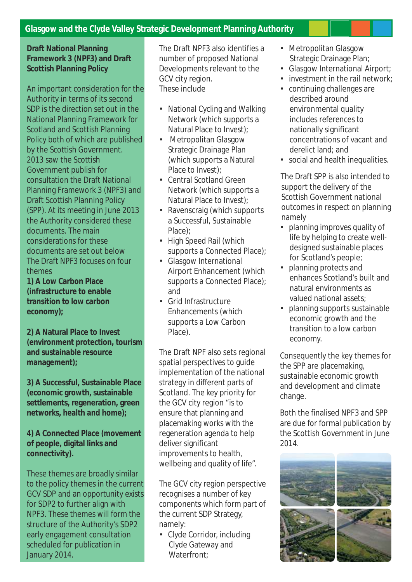## **Glasgow and the Clyde Valley Strategic Development Planning Authority**

**Draft National Planning Framework 3 (NPF3) and Draft Scottish Planning Policy**

An important consideration for the Authority in terms of its second SDP is the direction set out in the National Planning Framework for Scotland and Scottish Planning Policy both of which are published by the Scottish Government. 2013 saw the Scottish Government publish for consultation the Draft National Planning Framework 3 (NPF3) and Draft Scottish Planning Policy (SPP). At its meeting in June 2013 the Authority considered these documents. The main considerations for these documents are set out below The Draft NPF3 focuses on four themes

**1) A Low Carbon Place (infrastructure to enable transition to low carbon economy);**

**2) A Natural Place to Invest (environment protection, tourism and sustainable resource management);**

**3) A Successful, Sustainable Place (economic growth, sustainable settlements, regeneration, green networks, health and home);**

**4) A Connected Place (movement of people, digital links and connectivity).**

These themes are broadly similar to the policy themes in the current GCV SDP and an opportunity exists for SDP2 to further align with NPF3. These themes will form the structure of the Authority's SDP2 early engagement consultation scheduled for publication in January 2014.

The Draft NPF3 also identifies a number of proposed National Developments relevant to the GCV city region. These include

- National Cycling and Walking Network (which supports a Natural Place to Invest);
- Metropolitan Glasgow Strategic Drainage Plan (which supports a Natural Place to Invest);
- Central Scotland Green Network (which supports a Natural Place to Invest);
- Ravenscraig (which supports a Successful, Sustainable Place);
- High Speed Rail (which supports a Connected Place);
- Glasgow International Airport Enhancement (which supports a Connected Place); and
- Grid Infrastructure Enhancements (which supports a Low Carbon Place).

The Draft NPF also sets regional spatial perspectives to guide implementation of the national strategy in different parts of Scotland. The key priority for the GCV city region "is to ensure that planning and placemaking works with the regeneration agenda to help deliver significant improvements to health, wellbeing and quality of life".

The GCV city region perspective recognises a number of key components which form part of the current SDP Strategy, namely:

• Clyde Corridor, including Clyde Gateway and Waterfront:

- Metropolitan Glasgow Strategic Drainage Plan;
- Glasgow International Airport;
- investment in the rail network:
- continuing challenges are described around environmental quality includes references to nationally significant concentrations of vacant and derelict land; and
- social and health inequalities.

The Draft SPP is also intended to support the delivery of the Scottish Government national outcomes in respect on planning namely

- planning improves quality of life by helping to create welldesigned sustainable places for Scotland's people;
- planning protects and enhances Scotland's built and natural environments as valued national assets;
- planning supports sustainable economic growth and the transition to a low carbon economy.

Consequently the key themes for the SPP are placemaking, sustainable economic growth and development and climate change.

Both the finalised NPF3 and SPP are due for formal publication by the Scottish Government in June 2014.

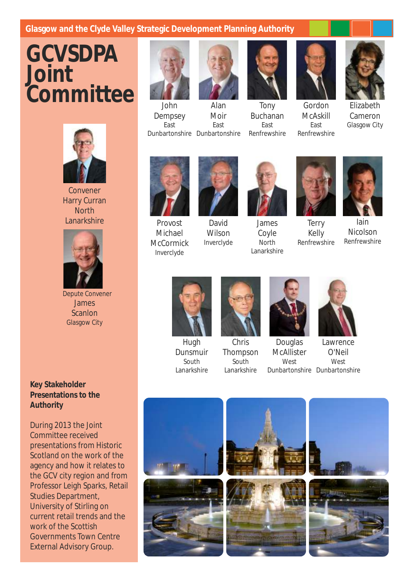## Glasgow and the Clyde Valley Strategic Development Planning Authority

## **GCVSDPA Joint Committee**



Convener Harry Curran **North** Lanarkshire



Depute Convener James Scanlon Glasgow City

**Key Stakeholder Presentations to the Authority**

During 2013 the Joint Committee received presentations from Historic Scotland on the work of the agency and how it relates to the GCV city region and from Professor Leigh Sparks, Retail Studies Department, University of Stirling on current retail trends and the work of the Scottish Governments Town Centre External Advisory Group.



Dunbartonshire Dunbartonshire John Dempsey East



Alan Moir East

Tony Buchanan East Renfrewshire



McAskill East Renfrewshire Elizabeth

Cameron Glasgow City



Provost Michael **McCormick** Inverclyde

David Wilson Inverclyde



James Coyle **North** Lanarkshire



Terry Kelly Renfrewshire



Iain Nicolson Renfrewshire



Hugh Dunsmuir South Lanarkshire



Chris Thompson South Lanarkshire



Douglas **McAllister West** 



Lawrence O'Neil **West** Dunbartonshire Dunbartonshire